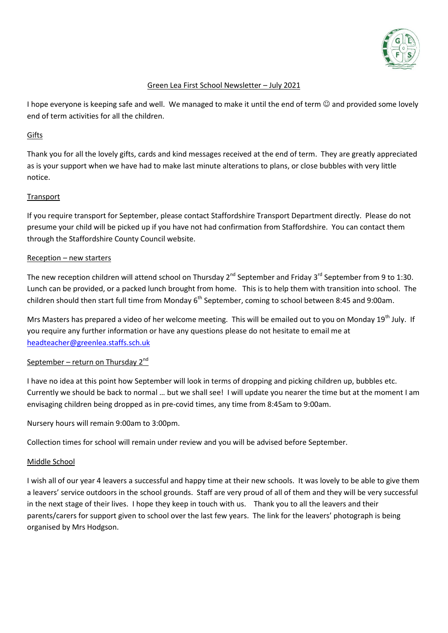

# Green Lea First School Newsletter – July 2021

I hope everyone is keeping safe and well. We managed to make it until the end of term  $\odot$  and provided some lovely end of term activities for all the children.

### Gifts

Thank you for all the lovely gifts, cards and kind messages received at the end of term. They are greatly appreciated as is your support when we have had to make last minute alterations to plans, or close bubbles with very little notice.

# Transport

If you require transport for September, please contact Staffordshire Transport Department directly. Please do not presume your child will be picked up if you have not had confirmation from Staffordshire. You can contact them through the Staffordshire County Council website.

### Reception – new starters

The new reception children will attend school on Thursday 2<sup>nd</sup> September and Friday 3<sup>rd</sup> September from 9 to 1:30. Lunch can be provided, or a packed lunch brought from home. This is to help them with transition into school. The children should then start full time from Monday  $6<sup>th</sup>$  September, coming to school between 8:45 and 9:00am.

Mrs Masters has prepared a video of her welcome meeting. This will be emailed out to you on Monday 19<sup>th</sup> July. If you require any further information or have any questions please do not hesitate to email me at [headteacher@greenlea.staffs.sch.uk](mailto:headteacher@greenlea.staffs.sch.uk)

# September – return on Thursday  $2^{nd}$

I have no idea at this point how September will look in terms of dropping and picking children up, bubbles etc. Currently we should be back to normal … but we shall see! I will update you nearer the time but at the moment I am envisaging children being dropped as in pre-covid times, any time from 8:45am to 9:00am.

Nursery hours will remain 9:00am to 3:00pm.

Collection times for school will remain under review and you will be advised before September.

#### Middle School

I wish all of our year 4 leavers a successful and happy time at their new schools. It was lovely to be able to give them a leavers' service outdoors in the school grounds. Staff are very proud of all of them and they will be very successful in the next stage of their lives. I hope they keep in touch with us. Thank you to all the leavers and their parents/carers for support given to school over the last few years. The link for the leavers' photograph is being organised by Mrs Hodgson.